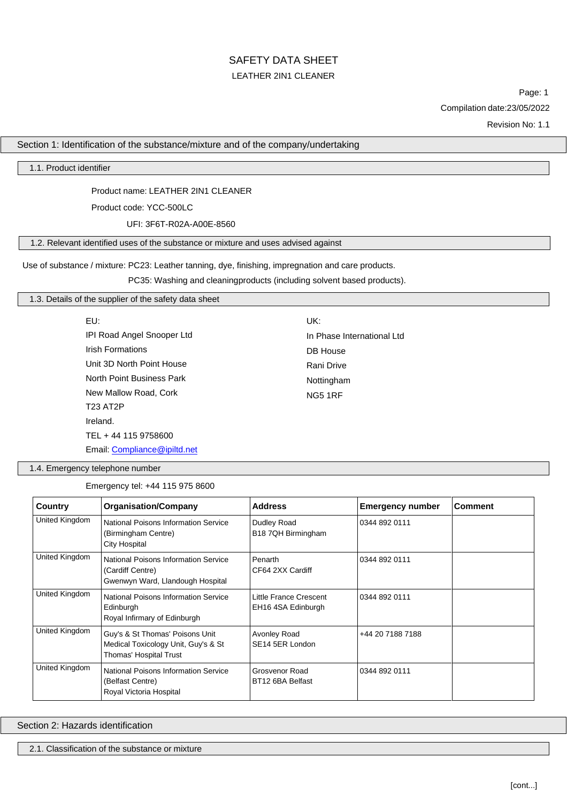Page: 1 Compilation date:23/05/2022

Revision No: 1.1

# Section 1: Identification of the substance/mixture and of the company/undertaking

1.1. Product identifier

### Product name: LEATHER 2IN1 CLEANER

Product code: YCC-500LC

UFI: 3F6T-R02A-A00E-8560

# 1.2. Relevant identified uses of the substance or mixture and uses advised against

Use of substance / mixture: PC23: Leather tanning, dye, finishing, impregnation and care products.

PC35: Washing and cleaningproducts (including solvent based products).

## 1.3. Details of the supplier of the safety data sheet

| EU:                        | UK:                        |
|----------------------------|----------------------------|
| IPI Road Angel Snooper Ltd | In Phase International Ltd |
| <b>Irish Formations</b>    | DB House                   |
| Unit 3D North Point House  | Rani Drive                 |
| North Point Business Park  | Nottingham                 |
| New Mallow Road, Cork      | <b>NG5 1RF</b>             |
| <b>T23 AT2P</b>            |                            |
| Ireland.                   |                            |
| TEL + 44 115 9758600       |                            |

Email: [Compliance@ipiltd.net](mailto:Compliance@ipiltd.net)

1.4. Emergency telephone number

Emergency tel: +44 115 975 8600

| Country        | <b>Organisation/Company</b><br><b>Address</b><br><b>Emergency number</b>                         |                                              | <b>Comment</b>   |  |
|----------------|--------------------------------------------------------------------------------------------------|----------------------------------------------|------------------|--|
| United Kingdom | National Poisons Information Service<br>(Birmingham Centre)<br>City Hospital                     | Dudley Road<br>B18 7QH Birmingham            | 0344 892 0111    |  |
| United Kingdom | National Poisons Information Service<br>(Cardiff Centre)<br>Gwenwyn Ward, Llandough Hospital     | Penarth<br>CF64 2XX Cardiff                  | 0344 892 0111    |  |
| United Kingdom | National Poisons Information Service<br>Edinburgh<br>Royal Infirmary of Edinburgh                | Little France Crescent<br>EH16 4SA Edinburgh | 0344 892 0111    |  |
| United Kingdom | Guy's & St Thomas' Poisons Unit<br>Medical Toxicology Unit, Guy's & St<br>Thomas' Hospital Trust | Avonley Road<br>SE14 5ER London              | +44 20 7188 7188 |  |
| United Kingdom | National Poisons Information Service<br>(Belfast Centre)<br>Royal Victoria Hospital              | Grosvenor Road<br>BT12 6BA Belfast           | 0344 892 0111    |  |

Section 2: Hazards identification

2.1. Classification of the substance or mixture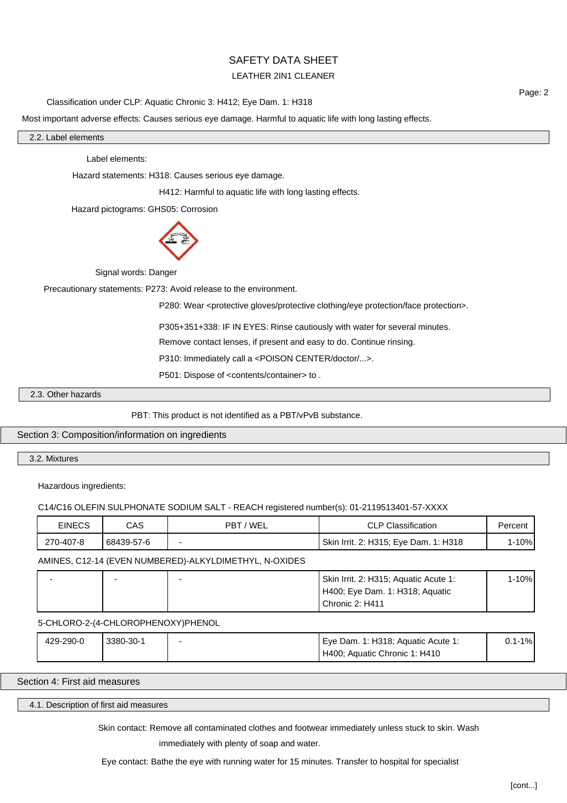# SAFETY DATA SHEET

# LEATHER 2IN1 CLEANER

Classification under CLP: Aquatic Chronic 3: H412; Eye Dam. 1: H318

Page: 2

Most important adverse effects: Causes serious eye damage. Harmful to aquatic life with long lasting effects.

2.2. Label elements

Label elements:

Hazard statements: H318: Causes serious eye damage.

H412: Harmful to aquatic life with long lasting effects.

Hazard pictograms: GHS05: Corrosion



Signal words: Danger

Precautionary statements: P273: Avoid release to the environment.

P280: Wear <protective gloves/protective clothing/eye protection/face protection>.

P305+351+338: IF IN EYES: Rinse cautiously with water for several minutes.

Remove contact lenses, if present and easy to do. Continue rinsing.

P310: Immediately call a <POISON CENTER/doctor/...>.

P501: Dispose of <contents/container> to .

2.3. Other hazards

PBT: This product is not identified as a PBT/vPvB substance.

Section 3: Composition/information on ingredients

3.2. Mixtures

Hazardous ingredients:

C14/C16 OLEFIN SULPHONATE SODIUM SALT - REACH registered number(s): 01-2119513401-57-XXXX

| <b>EINECS</b> | CAS        | 'WEL<br><b>PBT</b> | <b>CLP Classification</b>                    | Percent                            |
|---------------|------------|--------------------|----------------------------------------------|------------------------------------|
| 270-407-8     | 68439-57-6 | -                  | <b>Skin Irrit. 2: H315; Eye Dam. 1: H318</b> | $10\%$<br>$\overline{\phantom{0}}$ |

AMINES, C12-14 (EVEN NUMBERED)-ALKYLDIMETHYL, N-OXIDES

|  | Skin Irrit. 2: H315; Aquatic Acute 1: | 1-10% |
|--|---------------------------------------|-------|
|  | H400; Eye Dam. 1: H318; Aquatic       |       |
|  | Chronic 2: H411                       |       |

5-CHLORO-2-(4-CHLOROPHENOXY)PHENOL

| 429-290-0 | 3380-30-1 | Eye Dam. 1: H318; Aquatic Acute 1: | $.1\%$<br>υ. |
|-----------|-----------|------------------------------------|--------------|
|           |           | H400; Aquatic Chronic 1: H410      |              |

Section 4: First aid measures

4.1. Description of first aid measures

Skin contact: Remove all contaminated clothes and footwear immediately unless stuck to skin. Wash

immediately with plenty of soap and water.

Eye contact: Bathe the eye with running water for 15 minutes. Transfer to hospital for specialist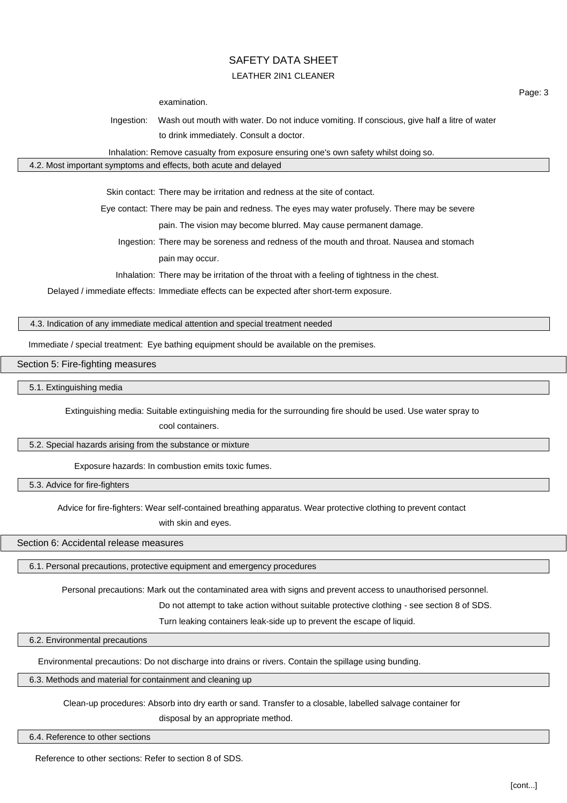examination.

Ingestion: Wash out mouth with water. Do not induce vomiting. If conscious, give half a litre of water to drink immediately. Consult a doctor.

Inhalation: Remove casualty from exposure ensuring one's own safety whilst doing so.

#### 4.2. Most important symptoms and effects, both acute and delayed

Skin contact: There may be irritation and redness at the site of contact.

Eye contact: There may be pain and redness. The eyes may water profusely. There may be severe

pain. The vision may become blurred. May cause permanent damage.

Ingestion: There may be soreness and redness of the mouth and throat. Nausea and stomach pain may occur.

Inhalation: There may be irritation of the throat with a feeling of tightness in the chest.

Delayed / immediate effects: Immediate effects can be expected after short-term exposure.

# 4.3. Indication of any immediate medical attention and special treatment needed

Immediate / special treatment: Eye bathing equipment should be available on the premises.

Section 5: Fire-fighting measures

5.1. Extinguishing media

Extinguishing media: Suitable extinguishing media for the surrounding fire should be used. Use water spray to

cool containers.

5.2. Special hazards arising from the substance or mixture

Exposure hazards: In combustion emits toxic fumes.

5.3. Advice for fire-fighters

Advice for fire-fighters: Wear self-contained breathing apparatus. Wear protective clothing to prevent contact

with skin and eyes.

Section 6: Accidental release measures

6.1. Personal precautions, protective equipment and emergency procedures

Personal precautions: Mark out the contaminated area with signs and prevent access to unauthorised personnel.

Do not attempt to take action without suitable protective clothing - see section 8 of SDS.

Turn leaking containers leak-side up to prevent the escape of liquid.

6.2. Environmental precautions

Environmental precautions: Do not discharge into drains or rivers. Contain the spillage using bunding.

6.3. Methods and material for containment and cleaning up

Clean-up procedures: Absorb into dry earth or sand. Transfer to a closable, labelled salvage container for

disposal by an appropriate method.

6.4. Reference to other sections

Reference to other sections: Refer to section 8 of SDS.

Page: 3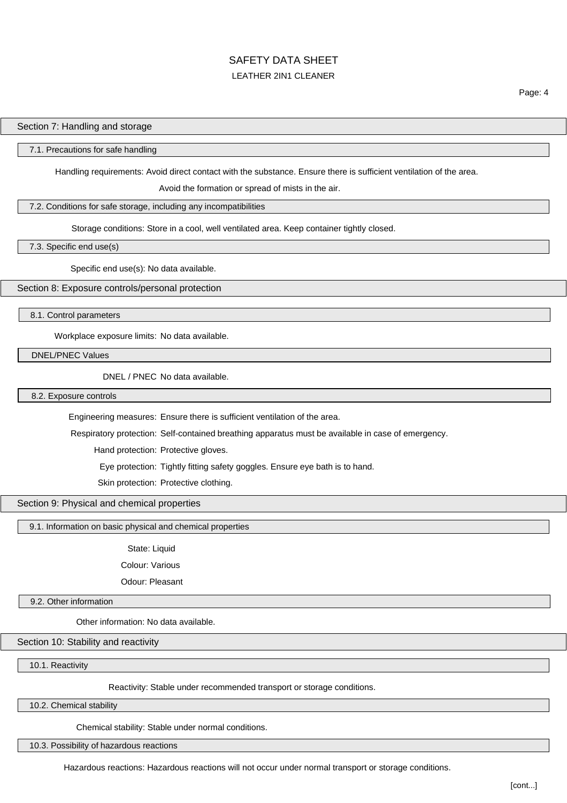### Section 7: Handling and storage

#### 7.1. Precautions for safe handling

Handling requirements: Avoid direct contact with the substance. Ensure there is sufficient ventilation of the area.

Avoid the formation or spread of mists in the air.

### 7.2. Conditions for safe storage, including any incompatibilities

Storage conditions: Store in a cool, well ventilated area. Keep container tightly closed.

7.3. Specific end use(s)

Specific end use(s): No data available.

Section 8: Exposure controls/personal protection

8.1. Control parameters

Workplace exposure limits: No data available.

DNEL/PNEC Values

DNEL / PNEC No data available.

8.2. Exposure controls

Engineering measures: Ensure there is sufficient ventilation of the area.

Respiratory protection: Self-contained breathing apparatus must be available in case of emergency.

Hand protection: Protective gloves.

Eye protection: Tightly fitting safety goggles. Ensure eye bath is to hand.

Skin protection: Protective clothing.

# Section 9: Physical and chemical properties

9.1. Information on basic physical and chemical properties

State: Liquid

Colour: Various

Odour: Pleasant

9.2. Other information

Other information: No data available.

Section 10: Stability and reactivity

10.1. Reactivity

Reactivity: Stable under recommended transport or storage conditions.

10.2. Chemical stability

Chemical stability: Stable under normal conditions.

10.3. Possibility of hazardous reactions

Hazardous reactions: Hazardous reactions will not occur under normal transport or storage conditions.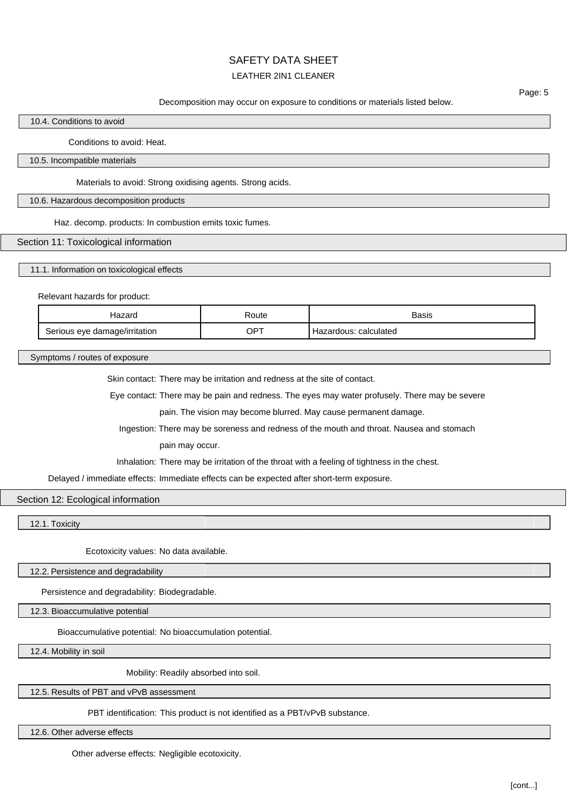# SAFETY DATA SHEET

# LEATHER 2IN1 CLEANER

Page: 5

Decomposition may occur on exposure to conditions or materials listed below.

# 10.4. Conditions to avoid

Conditions to avoid: Heat.

10.5. Incompatible materials

Materials to avoid: Strong oxidising agents. Strong acids.

10.6. Hazardous decomposition products

Haz. decomp. products: In combustion emits toxic fumes.

## Section 11: Toxicological information

11.1. Information on toxicological effects

Relevant hazards for product:

| ⊣azard                        | ≺oute | <b>Basis</b>             |
|-------------------------------|-------|--------------------------|
| Serious eye damage/irritation | OPT   | calculated<br>Hazardous: |

Symptoms / routes of exposure

Skin contact: There may be irritation and redness at the site of contact.

Eye contact: There may be pain and redness. The eyes may water profusely. There may be severe

pain. The vision may become blurred. May cause permanent damage.

Ingestion: There may be soreness and redness of the mouth and throat. Nausea and stomach

pain may occur.

Inhalation: There may be irritation of the throat with a feeling of tightness in the chest.

Delayed / immediate effects: Immediate effects can be expected after short-term exposure.

### Section 12: Ecological information

12.1. Toxicity

Ecotoxicity values: No data available.

12.2. Persistence and degradability

Persistence and degradability: Biodegradable.

12.3. Bioaccumulative potential

Bioaccumulative potential: No bioaccumulation potential.

12.4. Mobility in soil

Mobility: Readily absorbed into soil.

12.5. Results of PBT and vPvB assessment

PBT identification: This product is not identified as a PBT/vPvB substance.

12.6. Other adverse effects

Other adverse effects: Negligible ecotoxicity.